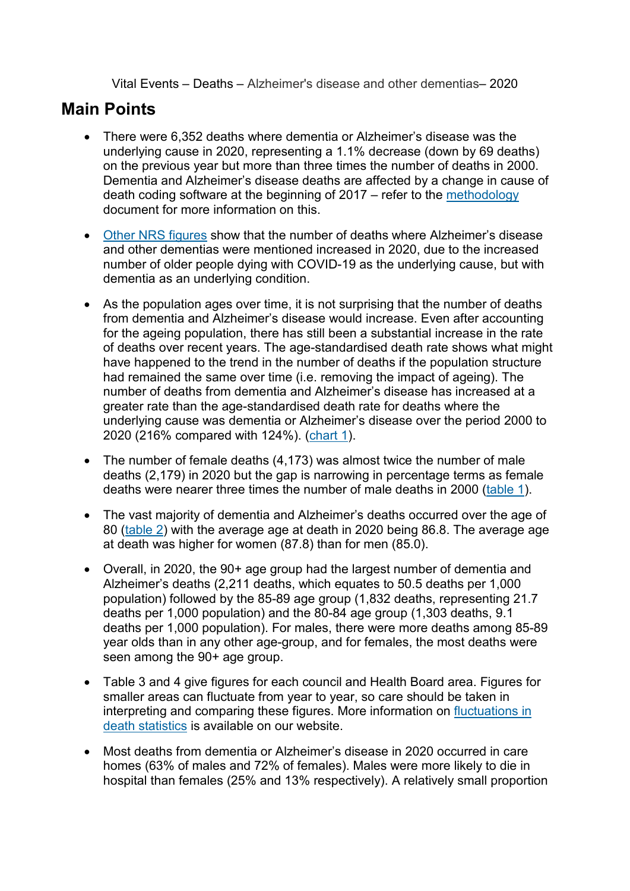Vital Events – Deaths – Alzheimer's disease and other dementias– 2020

## **Main Points**

- There were 6,352 deaths where dementia or Alzheimer's disease was the underlying cause in 2020, representing a 1.1% decrease (down by 69 deaths) on the previous year but more than three times the number of deaths in 2000. Dementia and Alzheimer's disease deaths are affected by a change in cause of death coding software at the beginning of 2017 – refer to the [methodology](https://www.nrscotland.gov.uk/files/statistics/dementia-alzheimers/2017/dementia-and-alzheimers-deaths-17-methodology.pdf) document for more information on this.
- [Other NRS figures](https://www.nrscotland.gov.uk/files/statistics/covid19/weekly-deaths-involving-dementia-and-alzheimer-disease.xlsx) show that the number of deaths where Alzheimer's disease and other dementias were mentioned increased in 2020, due to the increased number of older people dying with COVID-19 as the underlying cause, but with dementia as an underlying condition.
- As the population ages over time, it is not surprising that the number of deaths from dementia and Alzheimer's disease would increase. Even after accounting for the ageing population, there has still been a substantial increase in the rate of deaths over recent years. The age-standardised death rate shows what might have happened to the trend in the number of deaths if the population structure had remained the same over time (i.e. removing the impact of ageing). The number of deaths from dementia and Alzheimer's disease has increased at a greater rate than the age-standardised death rate for deaths where the underlying cause was dementia or Alzheimer's disease over the period 2000 to 2020 (216% compared with 124%). [\(chart 1\)](https://www.nrscotland.gov.uk/files/statistics/dementia-alzheimers/2020/dementia-and-alzheimers-deaths-20-all-tabs.xlsx).
- The number of female deaths (4,173) was almost twice the number of male deaths (2,179) in 2020 but the gap is narrowing in percentage terms as female deaths were nearer three times the number of male deaths in 2000 [\(table 1\)](https://www.nrscotland.gov.uk/files/statistics/dementia-alzheimers/2020/dementia-and-alzheimers-deaths-20-all-tabs.xlsx).
- The vast majority of dementia and Alzheimer's deaths occurred over the age of 80 [\(table 2\)](https://www.nrscotland.gov.uk/files/statistics/dementia-alzheimers/2020/dementia-and-alzheimers-deaths-20-all-tabs.xlsx) with the average age at death in 2020 being 86.8. The average age at death was higher for women (87.8) than for men (85.0).
- Overall, in 2020, the 90+ age group had the largest number of dementia and Alzheimer's deaths (2,211 deaths, which equates to 50.5 deaths per 1,000 population) followed by the 85-89 age group (1,832 deaths, representing 21.7 deaths per 1,000 population) and the 80-84 age group (1,303 deaths, 9.1 deaths per 1,000 population). For males, there were more deaths among 85-89 year olds than in any other age-group, and for females, the most deaths were seen among the 90+ age group.
- Table 3 and 4 give figures for each council and Health Board area. Figures for smaller areas can fluctuate from year to year, so care should be taken in interpreting and comparing these figures. More information on [fluctuations](http://192.1.1.27/statistics-and-data/statistics/statistics-by-theme/vital-events/deaths/deaths-background-information/fluctuations-in-and-possible-unreliability-of-death-statistics) in [death statistics](http://192.1.1.27/statistics-and-data/statistics/statistics-by-theme/vital-events/deaths/deaths-background-information/fluctuations-in-and-possible-unreliability-of-death-statistics) is available on our website.
- Most deaths from dementia or Alzheimer's disease in 2020 occurred in care homes (63% of males and 72% of females). Males were more likely to die in hospital than females (25% and 13% respectively). A relatively small proportion